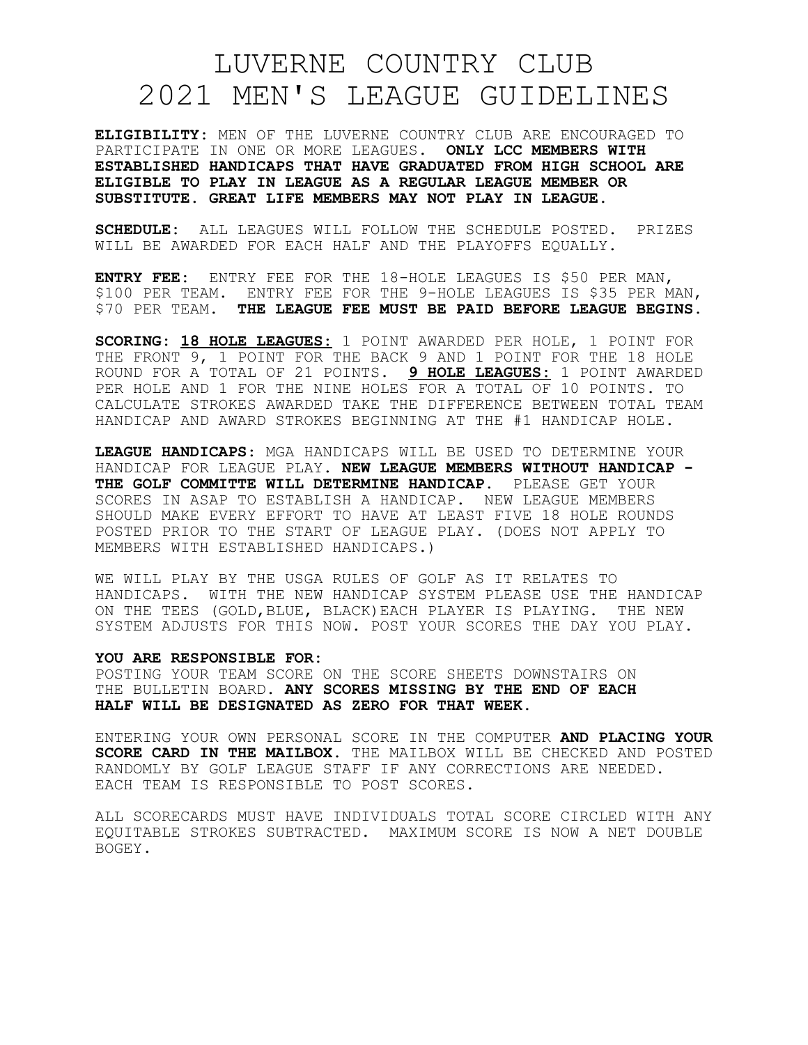## LUVERNE COUNTRY CLUB 2021 MEN'S LEAGUE GUIDELINES

**ELIGIBILITY:** MEN OF THE LUVERNE COUNTRY CLUB ARE ENCOURAGED TO PARTICIPATE IN ONE OR MORE LEAGUES. **ONLY LCC MEMBERS WITH ESTABLISHED HANDICAPS THAT HAVE GRADUATED FROM HIGH SCHOOL ARE ELIGIBLE TO PLAY IN LEAGUE AS A REGULAR LEAGUE MEMBER OR SUBSTITUTE. GREAT LIFE MEMBERS MAY NOT PLAY IN LEAGUE.**

**SCHEDULE:** ALL LEAGUES WILL FOLLOW THE SCHEDULE POSTED. PRIZES WILL BE AWARDED FOR EACH HALF AND THE PLAYOFFS EQUALLY.

**ENTRY FEE:** ENTRY FEE FOR THE 18-HOLE LEAGUES IS \$50 PER MAN, \$100 PER TEAM. ENTRY FEE FOR THE 9-HOLE LEAGUES IS \$35 PER MAN, \$70 PER TEAM. **THE LEAGUE FEE MUST BE PAID BEFORE LEAGUE BEGINS.**

**SCORING: 18 HOLE LEAGUES:** 1 POINT AWARDED PER HOLE, 1 POINT FOR THE FRONT 9, 1 POINT FOR THE BACK 9 AND 1 POINT FOR THE 18 HOLE ROUND FOR A TOTAL OF 21 POINTS. **9 HOLE LEAGUES:** 1 POINT AWARDED PER HOLE AND 1 FOR THE NINE HOLES FOR A TOTAL OF 10 POINTS. TO CALCULATE STROKES AWARDED TAKE THE DIFFERENCE BETWEEN TOTAL TEAM HANDICAP AND AWARD STROKES BEGINNING AT THE #1 HANDICAP HOLE.

**LEAGUE HANDICAPS**: MGA HANDICAPS WILL BE USED TO DETERMINE YOUR HANDICAP FOR LEAGUE PLAY. **NEW LEAGUE MEMBERS WITHOUT HANDICAP - THE GOLF COMMITTE WILL DETERMINE HANDICAP**. PLEASE GET YOUR SCORES IN ASAP TO ESTABLISH A HANDICAP. NEW LEAGUE MEMBERS SHOULD MAKE EVERY EFFORT TO HAVE AT LEAST FIVE 18 HOLE ROUNDS POSTED PRIOR TO THE START OF LEAGUE PLAY. (DOES NOT APPLY TO MEMBERS WITH ESTABLISHED HANDICAPS.)

WE WILL PLAY BY THE USGA RULES OF GOLF AS IT RELATES TO HANDICAPS. WITH THE NEW HANDICAP SYSTEM PLEASE USE THE HANDICAP ON THE TEES (GOLD,BLUE, BLACK)EACH PLAYER IS PLAYING. THE NEW SYSTEM ADJUSTS FOR THIS NOW. POST YOUR SCORES THE DAY YOU PLAY.

## **YOU ARE RESPONSIBLE FOR:**

POSTING YOUR TEAM SCORE ON THE SCORE SHEETS DOWNSTAIRS ON THE BULLETIN BOARD. **ANY SCORES MISSING BY THE END OF EACH HALF WILL BE DESIGNATED AS ZERO FOR THAT WEEK.**

ENTERING YOUR OWN PERSONAL SCORE IN THE COMPUTER **AND PLACING YOUR SCORE CARD IN THE MAILBOX**. THE MAILBOX WILL BE CHECKED AND POSTED RANDOMLY BY GOLF LEAGUE STAFF IF ANY CORRECTIONS ARE NEEDED. EACH TEAM IS RESPONSIBLE TO POST SCORES.

ALL SCORECARDS MUST HAVE INDIVIDUALS TOTAL SCORE CIRCLED WITH ANY EQUITABLE STROKES SUBTRACTED. MAXIMUM SCORE IS NOW A NET DOUBLE BOGEY.